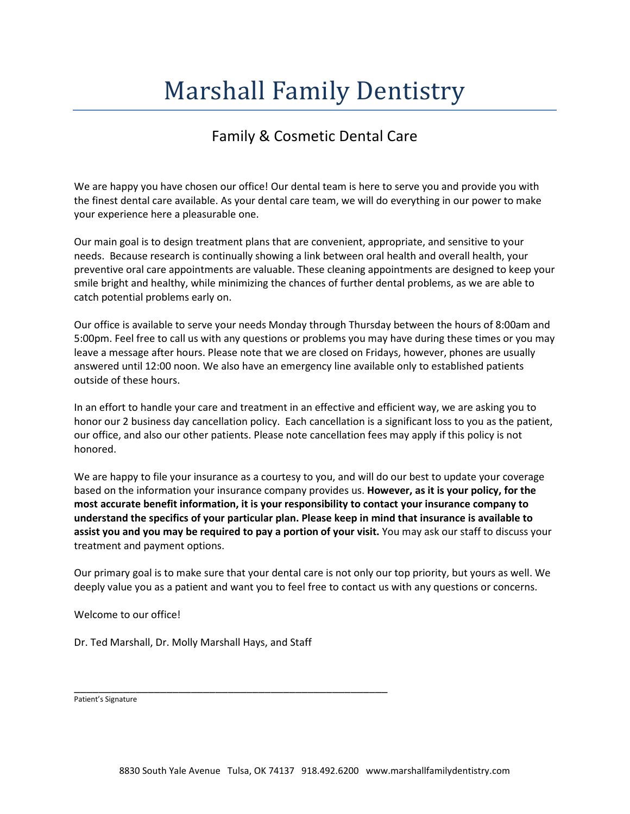# Marshall Family Dentistry

## Family & Cosmetic Dental Care

We are happy you have chosen our office! Our dental team is here to serve you and provide you with the finest dental care available. As your dental care team, we will do everything in our power to make your experience here a pleasurable one.

Our main goal is to design treatment plans that are convenient, appropriate, and sensitive to your needs. Because research is continually showing a link between oral health and overall health, your preventive oral care appointments are valuable. These cleaning appointments are designed to keep your smile bright and healthy, while minimizing the chances of further dental problems, as we are able to catch potential problems early on.

Our office is available to serve your needs Monday through Thursday between the hours of 8:00am and 5:00pm. Feel free to call us with any questions or problems you may have during these times or you may leave a message after hours. Please note that we are closed on Fridays, however, phones are usually answered until 12:00 noon. We also have an emergency line available only to established patients outside of these hours.

In an effort to handle your care and treatment in an effective and efficient way, we are asking you to honor our 2 business day cancellation policy. Each cancellation is a significant loss to you as the patient, our office, and also our other patients. Please note cancellation fees may apply if this policy is not honored.

We are happy to file your insurance as a courtesy to you, and will do our best to update your coverage based on the information your insurance company provides us. **However, as it is your policy, for the most accurate benefit information, it is your responsibility to contact your insurance company to understand the specifics of your particular plan. Please keep in mind that insurance is available to assist you and you may be required to pay a portion of your visit.** You may ask our staff to discuss your treatment and payment options.

Our primary goal is to make sure that your dental care is not only our top priority, but yours as well. We deeply value you as a patient and want you to feel free to contact us with any questions or concerns.

Welcome to our office!

Dr. Ted Marshall, Dr. Molly Marshall Hays, and Staff

\_\_\_\_\_\_\_\_\_\_\_\_\_\_\_\_\_\_\_\_\_\_\_\_\_\_\_\_\_\_\_\_\_\_\_\_\_\_\_\_\_\_\_\_\_\_\_\_\_\_\_

Patient's Signature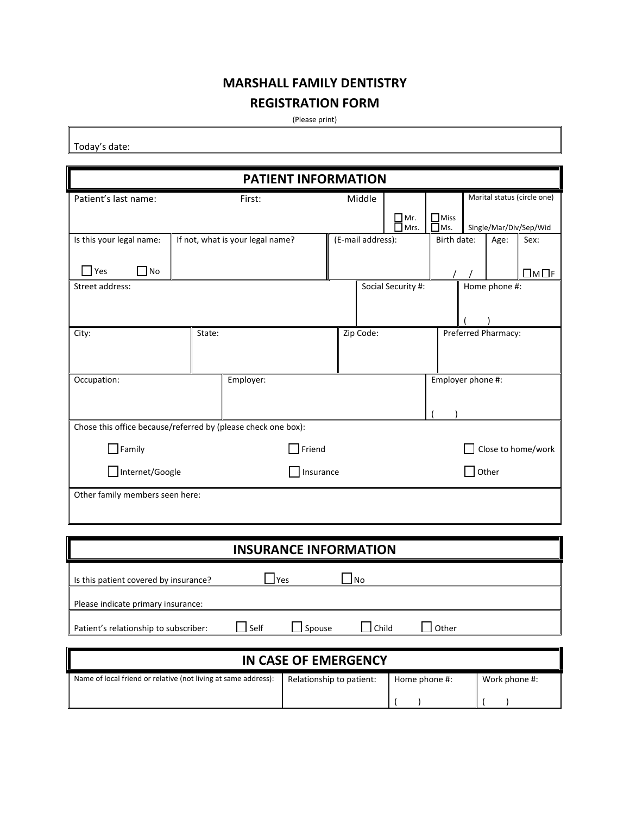## **MARSHALL FAMILY DENTISTRY REGISTRATION FORM**

(Please print)

Today's date:

| <b>PATIENT INFORMATION</b>                                    |                                  |                       |               |                   |                    |                              |                     |                             |
|---------------------------------------------------------------|----------------------------------|-----------------------|---------------|-------------------|--------------------|------------------------------|---------------------|-----------------------------|
| Patient's last name:                                          |                                  | First:                |               | Middle            |                    |                              |                     | Marital status (circle one) |
|                                                               |                                  |                       |               |                   | $\Box$ Mr.<br>Mrs. | $\Box$ Miss<br>$\square$ Ms. |                     | Single/Mar/Div/Sep/Wid      |
| Is this your legal name:                                      | If not, what is your legal name? |                       |               | (E-mail address): |                    | Birth date:                  | Age:                | Sex:                        |
| $\Box$ Yes<br>$\Box$ No                                       |                                  |                       |               |                   |                    |                              |                     | $\square$ M $\square$ F     |
| Street address:                                               |                                  |                       |               |                   | Social Security #: |                              | Home phone #:       |                             |
|                                                               |                                  |                       |               |                   |                    |                              |                     |                             |
| City:                                                         | State:                           |                       |               | Zip Code:         |                    |                              | Preferred Pharmacy: |                             |
|                                                               |                                  |                       |               |                   |                    |                              |                     |                             |
| Occupation:                                                   |                                  | Employer:             |               |                   |                    | Employer phone #:            |                     |                             |
|                                                               |                                  |                       |               |                   |                    |                              |                     |                             |
| Chose this office because/referred by (please check one box): |                                  |                       |               |                   |                    |                              |                     |                             |
| $\Box$ Family                                                 |                                  |                       | $\Box$ Friend |                   |                    |                              |                     | Close to home/work          |
| Internet/Google                                               |                                  |                       | Insurance     |                   |                    |                              | Other               |                             |
| Other family members seen here:                               |                                  |                       |               |                   |                    |                              |                     |                             |
|                                                               |                                  |                       |               |                   |                    |                              |                     |                             |
|                                                               |                                  |                       |               |                   |                    |                              |                     |                             |
|                                                               |                                  | INSURANCE INFORMATION |               |                   |                    |                              |                     |                             |

| I<br><b>INSURANCE INFORMATION</b>     |      |        |       |       |  |
|---------------------------------------|------|--------|-------|-------|--|
| Is this patient covered by insurance? |      | l Yes  | l No  |       |  |
| Please indicate primary insurance:    |      |        |       |       |  |
| Patient's relationship to subscriber: | Self | Spouse | Child | Other |  |
|                                       |      |        |       |       |  |

| IN CASE OF EMERGENCY                                           |                          |               |               |
|----------------------------------------------------------------|--------------------------|---------------|---------------|
| Name of local friend or relative (not living at same address): | Relationship to patient: | Home phone #: | Work phone #: |
|                                                                |                          |               |               |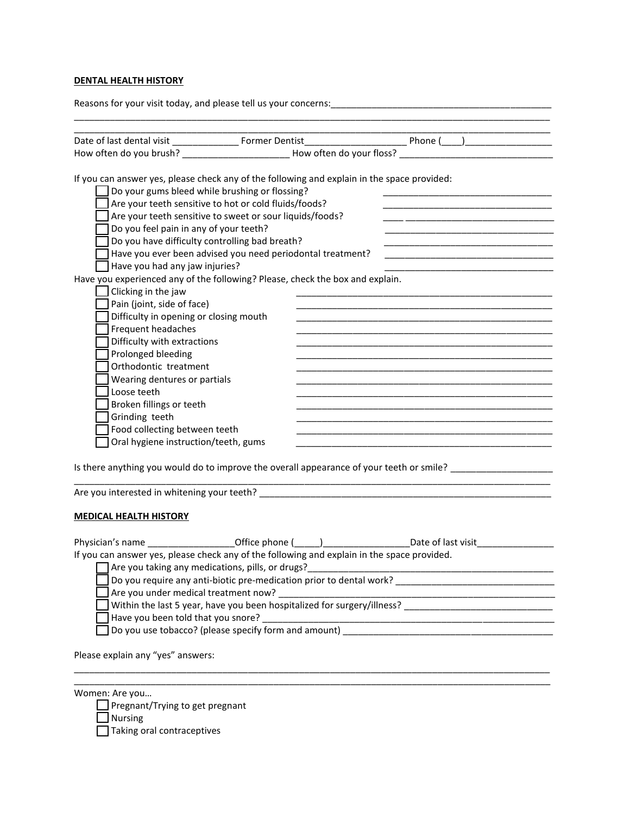### **DENTAL HEALTH HISTORY**

Physician's name \_\_\_\_\_\_\_\_\_\_\_\_\_\_\_\_\_\_\_\_\_\_Office phone (\_\_\_\_\_) \_\_\_\_\_\_\_\_\_\_\_\_\_\_\_\_\_\_\_Date of last visit\_\_\_\_\_\_\_\_\_\_\_\_\_ If you can answer yes, please check any of the following and explain in the space provided.  $\Box$  Are you taking any medications, pills, or drugs?<br> $\Box$  Are you taking any medications, pills, or drugs?<br> Do you require any anti-biotic pre-medication prior to dental work? \_\_\_\_\_\_\_\_\_\_\_\_\_\_\_\_\_\_\_\_\_\_\_\_\_\_\_\_\_\_\_ Are you under medical treatment now? \_\_\_\_\_\_\_\_\_\_\_\_\_\_\_\_\_\_\_\_\_\_\_\_\_\_\_\_\_\_\_\_\_\_\_\_\_\_\_\_\_\_\_\_\_\_\_\_\_\_\_\_\_\_ Within the last 5 year, have you been hospitalized for surgery/illness? Have you been told that you snore? \_\_\_\_\_\_\_\_\_\_\_\_\_\_\_\_\_\_\_\_\_\_\_\_\_\_\_\_\_\_\_\_\_\_\_\_\_\_\_\_\_\_\_\_\_\_\_\_\_\_\_\_\_\_\_\_\_ Do you use tobacco? (please specify form and amount) \_\_\_\_\_\_\_\_\_\_\_\_\_\_\_\_\_\_\_\_\_\_\_\_\_\_\_\_\_\_\_\_\_\_\_\_\_\_\_\_\_

\_\_\_\_\_\_\_\_\_\_\_\_\_\_\_\_\_\_\_\_\_\_\_\_\_\_\_\_\_\_\_\_\_\_\_\_\_\_\_\_\_\_\_\_\_\_\_\_\_\_\_\_\_\_\_\_\_\_\_\_\_\_\_\_\_\_\_\_\_\_\_\_\_\_\_\_\_\_\_\_\_\_\_\_\_\_\_\_\_\_\_\_\_ \_\_\_\_\_\_\_\_\_\_\_\_\_\_\_\_\_\_\_\_\_\_\_\_\_\_\_\_\_\_\_\_\_\_\_\_\_\_\_\_\_\_\_\_\_\_\_\_\_\_\_\_\_\_\_\_\_\_\_\_\_\_\_\_\_\_\_\_\_\_\_\_\_\_\_\_\_\_\_\_\_\_\_\_\_\_\_\_\_\_\_\_\_

Please explain any "yes" answers:

Women: Are you…

 $\Box$  Pregnant/Trying to get pregnant

**Nursing** 

Taking oral contraceptives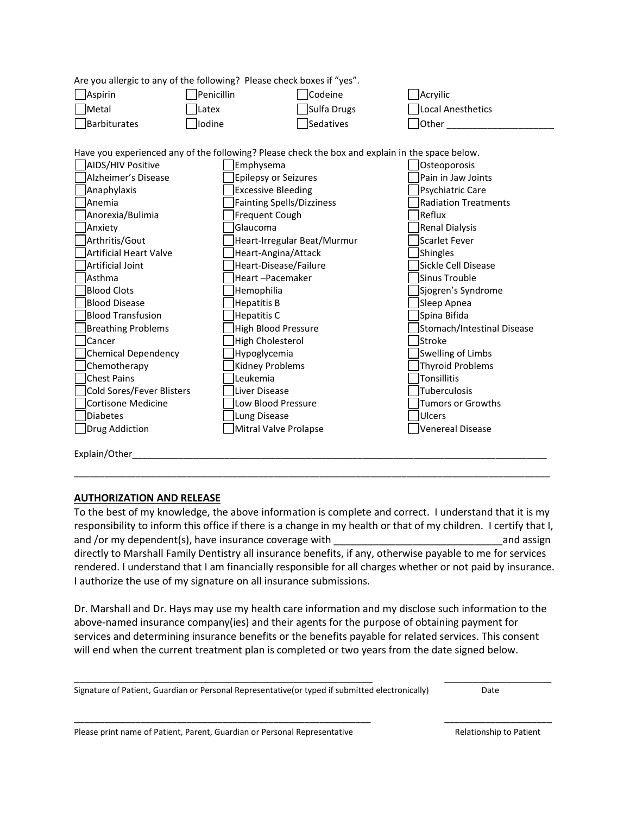|                     | Are you allergic to any of the following? Please check boxes if "yes". |                  |                   |
|---------------------|------------------------------------------------------------------------|------------------|-------------------|
| Aspirin             | <b>Penicillin</b>                                                      | <b>Codeine</b>   | <b>Acryilic</b>   |
| $\Box$ Metal        | <b>Latex</b>                                                           | Sulfa Drugs      | Local Anesthetics |
| <b>Barbiturates</b> | lodine                                                                 | <b>Sedatives</b> | lOther            |
|                     |                                                                        |                  |                   |

Have you experienced any of the following? Please check the box and explain in the space below.

| <b>AIDS/HIV Positive</b>  | Emphysema                        | Osteoporosis                |
|---------------------------|----------------------------------|-----------------------------|
| Alzheimer's Disease       | <b>Epilepsy or Seizures</b>      | Pain in Jaw Joints          |
| Anaphylaxis               | <b>Excessive Bleeding</b>        | Psychiatric Care            |
| Anemia                    | <b>Fainting Spells/Dizziness</b> | <b>Radiation Treatments</b> |
| Anorexia/Bulimia          | Frequent Cough                   | lReflux                     |
| Anxiety                   | Glaucoma                         | Renal Dialysis              |
| Arthritis/Gout            | Heart-Irregular Beat/Murmur      | Scarlet Fever               |
| Artificial Heart Valve    | Heart-Angina/Attack              | Shingles                    |
| Artificial Joint          | Heart-Disease/Failure            | Sickle Cell Disease         |
| <b>Asthma</b>             | Heart-Pacemaker                  | Sinus Trouble               |
| <b>Blood Clots</b>        | Hemophilia                       | Sjogren's Syndrome          |
| <b>Blood Disease</b>      | <b>Hepatitis B</b>               | Sleep Apnea                 |
| Blood Transfusion         | <b>Hepatitis C</b>               | Spina Bifida                |
| <b>Breathing Problems</b> | High Blood Pressure              | Stomach/Intestinal Disease  |
| Cancer                    | <b>High Cholesterol</b>          | lStroke                     |
| Chemical Dependency       | Hypoglycemia                     | Swelling of Limbs           |
| Chemotherapy              | Kidney Problems                  | <b>Thyroid Problems</b>     |
| Chest Pains               | Leukemia                         | Tonsillitis                 |
| Cold Sores/Fever Blisters | Liver Disease                    | Tuberculosis                |
| Cortisone Medicine        | Low Blood Pressure               | <b>Tumors or Growths</b>    |
| <b>Diabetes</b>           | Lung Disease                     | <b>Ulcers</b>               |
| Drug Addiction            | Mitral Valve Prolapse            | <b>Venereal Disease</b>     |
|                           |                                  |                             |

Explain/Other

## **AUTHORIZATION AND RELEASE**

To the best of my knowledge, the above information is complete and correct. I understand that it is my responsibility to inform this office if there is a change in my health or that of my children. I certify that I, and /or my dependent(s), have insurance coverage with \_\_\_\_\_\_\_\_\_\_\_\_\_\_\_\_\_\_\_\_\_\_\_\_\_\_\_\_\_\_and assign directly to Marshall Family Dentistry all insurance benefits, if any, otherwise payable to me for services rendered. I understand that I am financially responsible for all charges whether or not paid by insurance. I authorize the use of my signature on all insurance submissions.

\_\_\_\_\_\_\_\_\_\_\_\_\_\_\_\_\_\_\_\_\_\_\_\_\_\_\_\_\_\_\_\_\_\_\_\_\_\_\_\_\_\_\_\_\_\_\_\_\_\_\_\_\_\_\_\_\_\_\_\_\_\_\_\_\_\_\_\_\_\_\_\_\_\_\_\_\_\_\_\_\_\_\_\_\_\_\_\_\_\_\_\_\_

Dr. Marshall and Dr. Hays may use my health care information and my disclose such information to the above-named insurance company(ies) and their agents for the purpose of obtaining payment for services and determining insurance benefits or the benefits payable for related services. This consent will end when the current treatment plan is completed or two years from the date signed below.

\_\_\_\_\_\_\_\_\_\_\_\_\_\_\_\_\_\_\_\_\_\_\_\_\_\_\_\_\_\_\_\_\_\_\_\_\_\_\_\_\_\_\_\_\_\_\_\_\_\_\_\_\_ \_\_\_\_\_\_\_\_\_\_\_\_\_\_\_\_\_\_\_

\_\_\_\_\_\_\_\_\_\_\_\_\_\_\_\_\_\_\_\_\_\_\_\_\_\_\_\_\_\_\_\_\_\_\_\_\_\_\_\_\_\_\_\_\_\_\_\_\_\_\_\_\_\_\_\_\_\_ \_\_\_\_\_\_\_\_\_\_\_\_\_\_\_\_\_\_\_\_\_

Signature of Patient, Guardian or Personal Representative(or typed if submitted electronically) Date

Please print name of Patient, Parent, Guardian or Personal Representative Relationship to Patient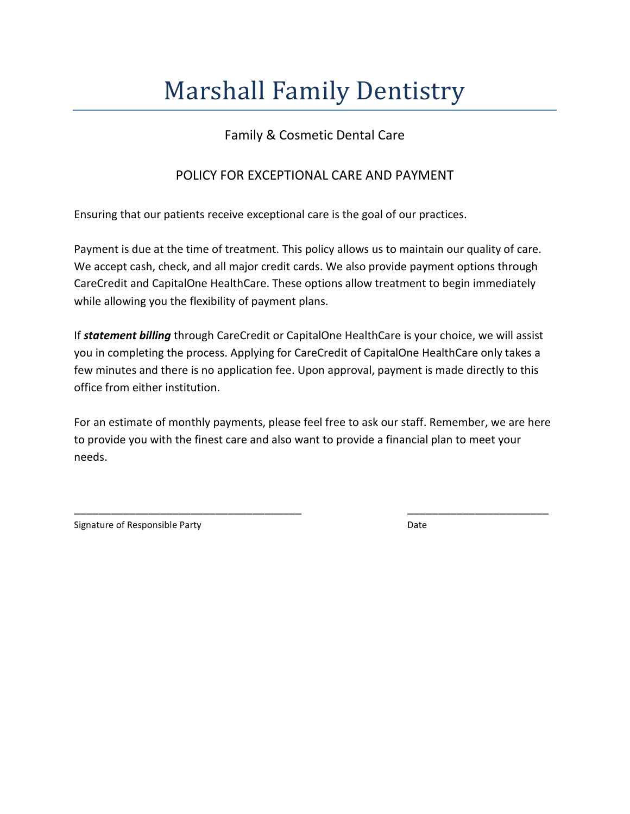# Marshall Family Dentistry

## Family & Cosmetic Dental Care

## POLICY FOR EXCEPTIONAL CARE AND PAYMENT

Ensuring that our patients receive exceptional care is the goal of our practices.

Payment is due at the time of treatment. This policy allows us to maintain our quality of care. We accept cash, check, and all major credit cards. We also provide payment options through CareCredit and CapitalOne HealthCare. These options allow treatment to begin immediately while allowing you the flexibility of payment plans.

If *statement billing* through CareCredit or CapitalOne HealthCare is your choice, we will assist you in completing the process. Applying for CareCredit of CapitalOne HealthCare only takes a few minutes and there is no application fee. Upon approval, payment is made directly to this office from either institution.

For an estimate of monthly payments, please feel free to ask our staff. Remember, we are here to provide you with the finest care and also want to provide a financial plan to meet your needs.

\_\_\_\_\_\_\_\_\_\_\_\_\_\_\_\_\_\_\_\_\_\_\_\_\_\_\_\_\_\_\_\_\_\_\_\_\_ \_\_\_\_\_\_\_\_\_\_\_\_\_\_\_\_\_\_\_\_\_\_\_

Signature of Responsible Party **Date** Date **Date**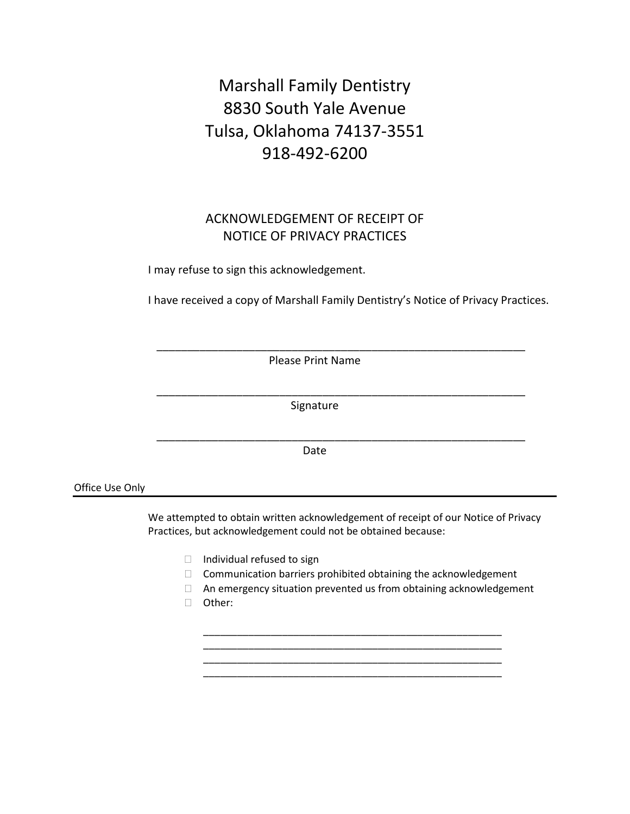## Marshall Family Dentistry 8830 South Yale Avenue Tulsa, Oklahoma 74137-3551 918-492-6200

## ACKNOWLEDGEMENT OF RECEIPT OF NOTICE OF PRIVACY PRACTICES

I may refuse to sign this acknowledgement.

I have received a copy of Marshall Family Dentistry's Notice of Privacy Practices.

Please Print Name

\_\_\_\_\_\_\_\_\_\_\_\_\_\_\_\_\_\_\_\_\_\_\_\_\_\_\_\_\_\_\_\_\_\_\_\_\_\_\_\_\_\_\_\_\_\_\_\_\_\_\_\_\_\_\_\_\_\_\_\_

\_\_\_\_\_\_\_\_\_\_\_\_\_\_\_\_\_\_\_\_\_\_\_\_\_\_\_\_\_\_\_\_\_\_\_\_\_\_\_\_\_\_\_\_\_\_\_\_\_\_\_\_\_\_\_\_\_\_\_\_

\_\_\_\_\_\_\_\_\_\_\_\_\_\_\_\_\_\_\_\_\_\_\_\_\_\_\_\_\_\_\_\_\_\_\_\_\_\_\_\_\_\_\_\_\_\_\_\_\_\_\_\_\_\_\_\_\_\_\_\_

Signature

Date

Office Use Only

 We attempted to obtain written acknowledgement of receipt of our Notice of Privacy Practices, but acknowledgement could not be obtained because:

- $\Box$  Individual refused to sign
- $\Box$  Communication barriers prohibited obtaining the acknowledgement

\_\_\_\_\_\_\_\_\_\_\_\_\_\_\_\_\_\_\_\_\_\_\_\_\_\_\_\_\_\_\_\_\_\_\_\_\_\_\_\_\_\_\_\_\_\_\_\_\_\_\_\_\_

\_\_\_\_\_\_\_\_\_\_\_\_\_\_\_\_\_\_\_\_\_\_\_\_\_\_\_\_\_\_\_\_\_\_\_\_\_\_\_\_\_\_\_\_\_\_\_\_\_\_\_\_\_

- An emergency situation prevented us from obtaining acknowledgement
- Other: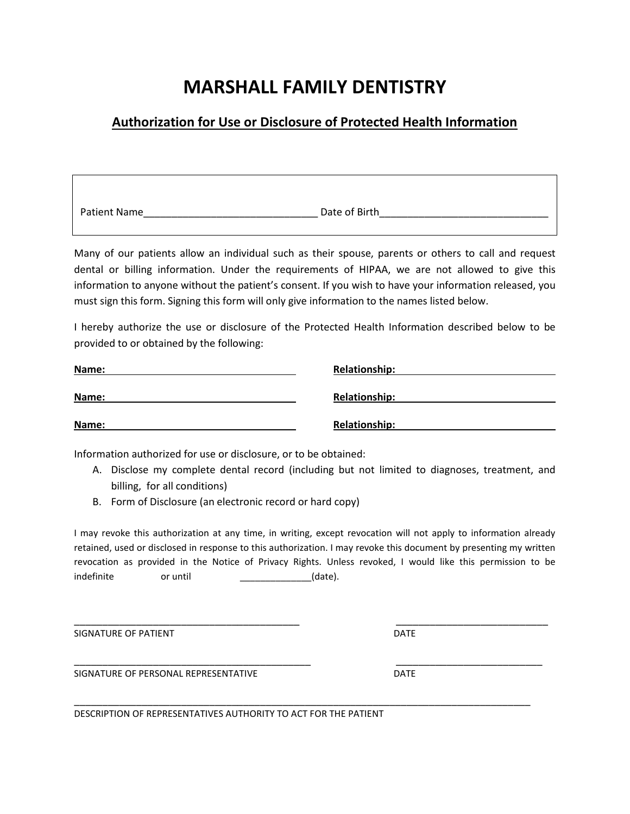## **MARSHALL FAMILY DENTISTRY**

## **Authorization for Use or Disclosure of Protected Health Information**

| Patient Name | Date of Birth |
|--------------|---------------|

Many of our patients allow an individual such as their spouse, parents or others to call and request dental or billing information. Under the requirements of HIPAA, we are not allowed to give this information to anyone without the patient's consent. If you wish to have your information released, you must sign this form. Signing this form will only give information to the names listed below.

I hereby authorize the use or disclosure of the Protected Health Information described below to be provided to or obtained by the following:

| Name: | <b>Relationship:</b> |
|-------|----------------------|
| Name: | <b>Relationship:</b> |
| Name: | <b>Relationship:</b> |

Information authorized for use or disclosure, or to be obtained:

- A. Disclose my complete dental record (including but not limited to diagnoses, treatment, and billing, for all conditions)
- B. Form of Disclosure (an electronic record or hard copy)

I may revoke this authorization at any time, in writing, except revocation will not apply to information already retained, used or disclosed in response to this authorization. I may revoke this document by presenting my written revocation as provided in the Notice of Privacy Rights. Unless revoked, I would like this permission to be indefinite or until (date).

\_\_\_\_\_\_\_\_\_\_\_\_\_\_\_\_\_\_\_\_\_\_\_\_\_\_\_\_\_\_\_\_\_\_\_\_\_\_\_\_ \_\_\_\_\_\_\_\_\_\_\_\_\_\_\_\_\_\_\_\_\_\_\_\_\_\_\_

SIGNATURE OF PATIENT **DATE** 

SIGNATURE OF PERSONAL REPRESENTATIVE **EXAMPLE 20 YO A SIGNATURE DATE** 

\_\_\_\_\_\_\_\_\_\_\_\_\_\_\_\_\_\_\_\_\_\_\_\_\_\_\_\_\_\_\_\_\_\_\_\_\_\_\_\_\_\_ \_\_\_\_\_\_\_\_\_\_\_\_\_\_\_\_\_\_\_\_\_\_\_\_\_\_

\_\_\_\_\_\_\_\_\_\_\_\_\_\_\_\_\_\_\_\_\_\_\_\_\_\_\_\_\_\_\_\_\_\_\_\_\_\_\_\_\_\_\_\_\_\_\_\_\_\_\_\_\_\_\_\_\_\_\_\_\_\_\_\_\_\_\_\_\_\_\_\_\_\_\_\_\_\_\_\_\_ DESCRIPTION OF REPRESENTATIVES AUTHORITY TO ACT FOR THE PATIENT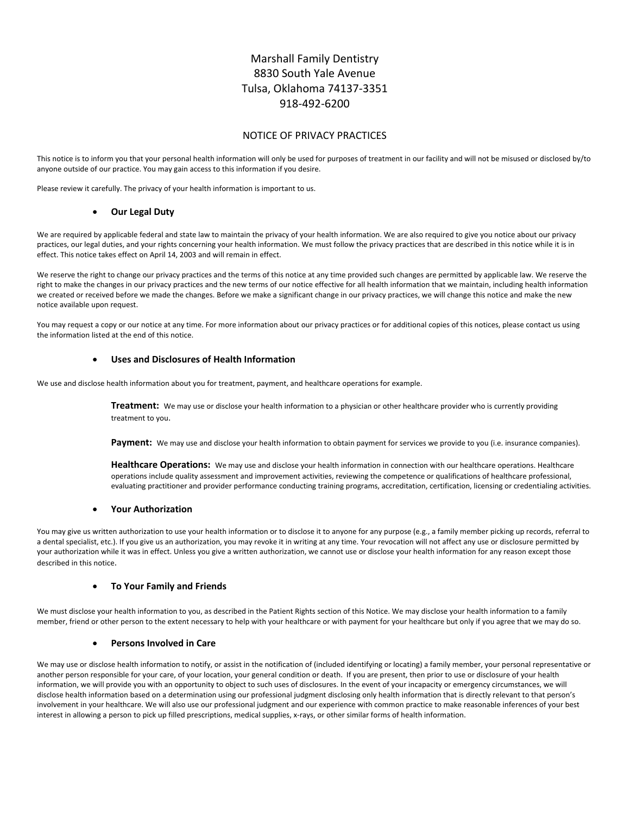## Marshall Family Dentistry 8830 South Yale Avenue Tulsa, Oklahoma 74137‐3351 918‐492‐6200

### NOTICE OF PRIVACY PRACTICES

This notice is to inform you that your personal health information will only be used for purposes of treatment in our facility and will not be misused or disclosed by/to anyone outside of our practice. You may gain access to this information if you desire.

Please review it carefully. The privacy of your health information is important to us.

#### **Our Legal Duty**

We are required by applicable federal and state law to maintain the privacy of your health information. We are also required to give you notice about our privacy practices, our legal duties, and your rights concerning your health information. We must follow the privacy practices that are described in this notice while it is in effect. This notice takes effect on April 14, 2003 and will remain in effect.

We reserve the right to change our privacy practices and the terms of this notice at any time provided such changes are permitted by applicable law. We reserve the right to make the changes in our privacy practices and the new terms of our notice effective for all health information that we maintain, including health information we created or received before we made the changes. Before we make a significant change in our privacy practices, we will change this notice and make the new notice available upon request.

You may request a copy or our notice at any time. For more information about our privacy practices or for additional copies of this notices, please contact us using the information listed at the end of this notice.

#### **Uses and Disclosures of Health Information**

We use and disclose health information about you for treatment, payment, and healthcare operations for example.

**Treatment:** We may use or disclose your health information to a physician or other healthcare provider who is currently providing treatment to you.

Payment: We may use and disclose your health information to obtain payment for services we provide to you (i.e. insurance companies).

**Healthcare Operations:** We may use and disclose your health information in connection with our healthcare operations. Healthcare operations include quality assessment and improvement activities, reviewing the competence or qualifications of healthcare professional, evaluating practitioner and provider performance conducting training programs, accreditation, certification, licensing or credentialing activities.

#### **Your Authorization**

You may give us written authorization to use your health information or to disclose it to anyone for any purpose (e.g., a family member picking up records, referral to a dental specialist, etc.). If you give us an authorization, you may revoke it in writing at any time. Your revocation will not affect any use or disclosure permitted by your authorization while it was in effect. Unless you give a written authorization, we cannot use or disclose your health information for any reason except those described in this notice.

#### **To Your Family and Friends**

We must disclose your health information to you, as described in the Patient Rights section of this Notice. We may disclose your health information to a family member, friend or other person to the extent necessary to help with your healthcare or with payment for your healthcare but only if you agree that we may do so.

#### **Persons Involved in Care**

We may use or disclose health information to notify, or assist in the notification of (included identifying or locating) a family member, your personal representative or another person responsible for your care, of your location, your general condition or death. If you are present, then prior to use or disclosure of your health information, we will provide you with an opportunity to object to such uses of disclosures. In the event of your incapacity or emergency circumstances, we will disclose health information based on a determination using our professional judgment disclosing only health information that is directly relevant to that person's involvement in your healthcare. We will also use our professional judgment and our experience with common practice to make reasonable inferences of your best interest in allowing a person to pick up filled prescriptions, medical supplies, x-rays, or other similar forms of health information.